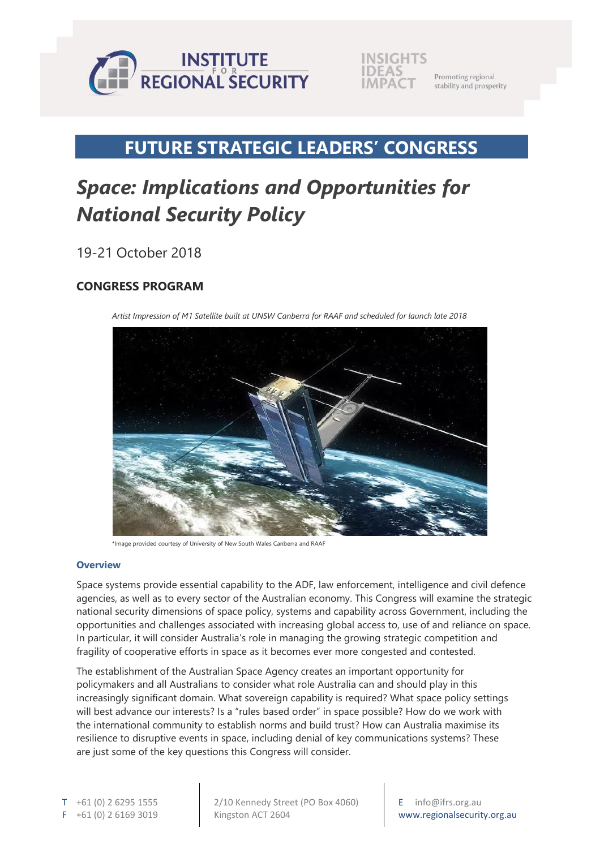



Promoting regional stability and prosperity

## **FUTURE STRATEGIC LEADERS' CONGRESS**

# *Space: Implications and Opportunities for National Security Policy*

19-21 October 2018

### **CONGRESS PROGRAM**

*Artist Impression of M1 Satellite built at UNSW Canberra for RAAF and scheduled for launch late 2018*



\*Image provided courtesy of University of New South Wales Canberra and RAAF

#### **Overview**

Space systems provide essential capability to the ADF, law enforcement, intelligence and civil defence agencies, as well as to every sector of the Australian economy. This Congress will examine the strategic national security dimensions of space policy, systems and capability across Government, including the opportunities and challenges associated with increasing global access to, use of and reliance on space. In particular, it will consider Australia's role in managing the growing strategic competition and fragility of cooperative efforts in space as it becomes ever more congested and contested.

The establishment of the Australian Space Agency creates an important opportunity for policymakers and all Australians to consider what role Australia can and should play in this increasingly significant domain. What sovereign capability is required? What space policy settings will best advance our interests? Is a "rules based order" in space possible? How do we work with the international community to establish norms and build trust? How can Australia maximise its resilience to disruptive events in space, including denial of key communications systems? These are just some of the key questions this Congress will consider.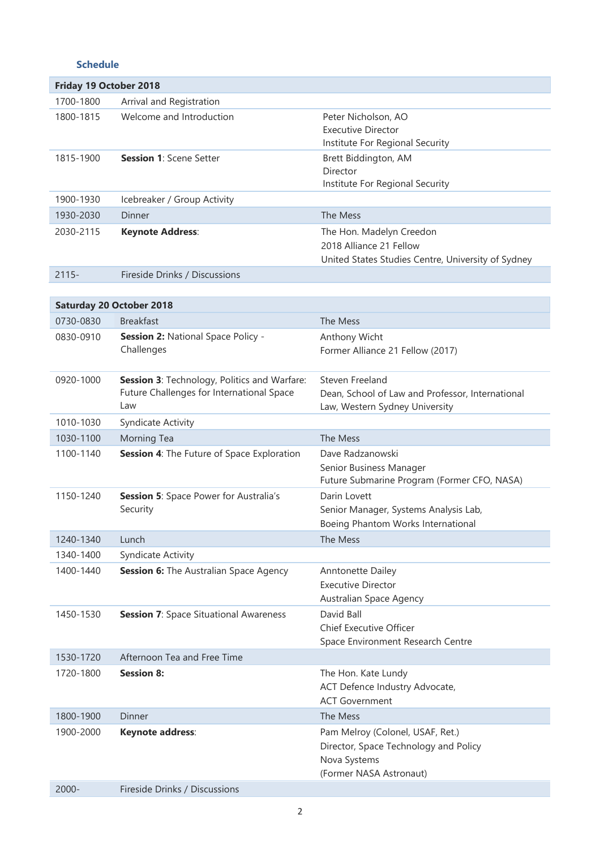#### **Schedule**

| Friday 19 October 2018 |                                                                                                  |                                                                                                                      |  |
|------------------------|--------------------------------------------------------------------------------------------------|----------------------------------------------------------------------------------------------------------------------|--|
| 1700-1800              | Arrival and Registration                                                                         |                                                                                                                      |  |
| 1800-1815              | Welcome and Introduction                                                                         | Peter Nicholson, AO<br><b>Executive Director</b><br>Institute For Regional Security                                  |  |
| 1815-1900              | <b>Session 1: Scene Setter</b>                                                                   | Brett Biddington, AM<br>Director<br>Institute For Regional Security                                                  |  |
| 1900-1930              | Icebreaker / Group Activity                                                                      |                                                                                                                      |  |
| 1930-2030              | Dinner                                                                                           | The Mess                                                                                                             |  |
| 2030-2115              | <b>Keynote Address:</b>                                                                          | The Hon. Madelyn Creedon<br>2018 Alliance 21 Fellow<br>United States Studies Centre, University of Sydney            |  |
| $2115 -$               | Fireside Drinks / Discussions                                                                    |                                                                                                                      |  |
|                        |                                                                                                  |                                                                                                                      |  |
|                        | <b>Saturday 20 October 2018</b>                                                                  |                                                                                                                      |  |
| 0730-0830              | <b>Breakfast</b>                                                                                 | The Mess                                                                                                             |  |
| 0830-0910              | Session 2: National Space Policy -<br>Challenges                                                 | Anthony Wicht<br>Former Alliance 21 Fellow (2017)                                                                    |  |
| 0920-1000              | Session 3: Technology, Politics and Warfare:<br>Future Challenges for International Space<br>Law | Steven Freeland<br>Dean, School of Law and Professor, International<br>Law, Western Sydney University                |  |
| 1010-1030              | <b>Syndicate Activity</b>                                                                        |                                                                                                                      |  |
| 1030-1100              | Morning Tea                                                                                      | The Mess                                                                                                             |  |
| 1100-1140              | Session 4: The Future of Space Exploration                                                       | Dave Radzanowski<br>Senior Business Manager<br>Future Submarine Program (Former CFO, NASA)                           |  |
| 1150-1240              | Session 5: Space Power for Australia's<br>Security                                               | Darin Lovett<br>Senior Manager, Systems Analysis Lab,<br>Boeing Phantom Works International                          |  |
| 1240-1340              | Lunch                                                                                            | The Mess                                                                                                             |  |
| 1340-1400              | <b>Syndicate Activity</b>                                                                        |                                                                                                                      |  |
| 1400-1440              | <b>Session 6:</b> The Australian Space Agency                                                    | Anntonette Dailey<br><b>Executive Director</b><br>Australian Space Agency                                            |  |
| 1450-1530              | <b>Session 7: Space Situational Awareness</b>                                                    | David Ball<br>Chief Executive Officer<br>Space Environment Research Centre                                           |  |
| 1530-1720              | Afternoon Tea and Free Time                                                                      |                                                                                                                      |  |
| 1720-1800              | <b>Session 8:</b>                                                                                | The Hon. Kate Lundy<br>ACT Defence Industry Advocate,<br><b>ACT Government</b>                                       |  |
| 1800-1900              | Dinner                                                                                           | The Mess                                                                                                             |  |
| 1900-2000              | Keynote address:                                                                                 | Pam Melroy (Colonel, USAF, Ret.)<br>Director, Space Technology and Policy<br>Nova Systems<br>(Former NASA Astronaut) |  |
| $2000 -$               | Fireside Drinks / Discussions                                                                    |                                                                                                                      |  |